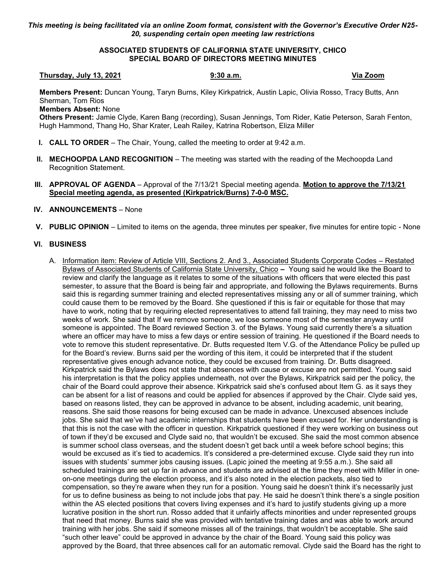*This meeting is being facilitated via an online Zoom format, consistent with the Governor's Executive Order N25- 20, suspending certain open meeting law restrictions*

## **ASSOCIATED STUDENTS OF CALIFORNIA STATE UNIVERSITY, CHICO SPECIAL BOARD OF DIRECTORS MEETING MINUTES**

## **Thursday, July 13, 2021 9:30 a.m. Via Zoom**

**Members Present:** Duncan Young, Taryn Burns, Kiley Kirkpatrick, Austin Lapic, Olivia Rosso, Tracy Butts, Ann Sherman, Tom Rios

**Members Absent:** None

**Others Present:** Jamie Clyde, Karen Bang (recording), Susan Jennings, Tom Rider, Katie Peterson, Sarah Fenton, Hugh Hammond, Thang Ho, Shar Krater, Leah Railey, Katrina Robertson, Eliza Miller

- **I. CALL TO ORDER** The Chair, Young, called the meeting to order at 9:42 a.m.
- **II. MECHOOPDA LAND RECOGNITION** The meeting was started with the reading of the Mechoopda Land Recognition Statement.
- **III. APPROVAL OF AGENDA** Approval of the 7/13/21 Special meeting agenda. **Motion to approve the 7/13/21 Special meeting agenda, as presented (Kirkpatrick/Burns) 7-0-0 MSC.**
- **IV. ANNOUNCEMENTS** None
- **V. PUBLIC OPINION** Limited to items on the agenda, three minutes per speaker, five minutes for entire topic None

## **VI. BUSINESS**

A. Information item: Review of Article VIII, Sections 2. And 3., Associated Students Corporate Codes – Restated Bylaws of Associated Students of California State University, Chico **–** Young said he would like the Board to review and clarify the language as it relates to some of the situations with officers that were elected this past semester, to assure that the Board is being fair and appropriate, and following the Bylaws requirements. Burns said this is regarding summer training and elected representatives missing any or all of summer training, which could cause them to be removed by the Board. She questioned if this is fair or equitable for those that may have to work, noting that by requiring elected representatives to attend fall training, they may need to miss two weeks of work. She said that If we remove someone, we lose someone most of the semester anyway until someone is appointed. The Board reviewed Section 3. of the Bylaws. Young said currently there's a situation where an officer may have to miss a few days or entire session of training. He questioned if the Board needs to vote to remove this student representative. Dr. Butts requested Item V.G. of the Attendance Policy be pulled up for the Board's review. Burns said per the wording of this item, it could be interpreted that if the student representative gives enough advance notice, they could be excused from training. Dr. Butts disagreed. Kirkpatrick said the Bylaws does not state that absences with cause or excuse are not permitted. Young said his interpretation is that the policy applies underneath, not over the Bylaws, Kirkpatrick said per the policy, the chair of the Board could approve their absence. Kirkpatrick said she's confused about Item G. as it says they can be absent for a list of reasons and could be applied for absences if approved by the Chair. Clyde said yes, based on reasons listed, they can be approved in advance to be absent, including academic, unit bearing, reasons. She said those reasons for being excused can be made in advance. Unexcused absences include jobs. She said that we've had academic internships that students have been excused for. Her understanding is that this is not the case with the officer in question. Kirkpatrick questioned if they were working on business out of town if they'd be excused and Clyde said no, that wouldn't be excused. She said the most common absence is summer school class overseas, and the student doesn't get back until a week before school begins; this would be excused as it's tied to academics. It's considered a pre-determined excuse. Clyde said they run into issues with students' summer jobs causing issues. (Lapic joined the meeting at 9:55 a.m.). She said all scheduled trainings are set up far in advance and students are advised at the time they meet with Miller in oneon-one meetings during the election process, and it's also noted in the election packets, also tied to compensation, so they're aware when they run for a position. Young said he doesn't think it's necessarily just for us to define business as being to not include jobs that pay. He said he doesn't think there's a single position within the AS elected positions that covers living expenses and it's hard to justify students giving up a more lucrative position in the short run. Rosso added that it unfairly affects minorities and under represented groups that need that money. Burns said she was provided with tentative training dates and was able to work around training with her jobs. She said if someone misses all of the trainings, that wouldn't be acceptable. She said "such other leave" could be approved in advance by the chair of the Board. Young said this policy was approved by the Board, that three absences call for an automatic removal. Clyde said the Board has the right to